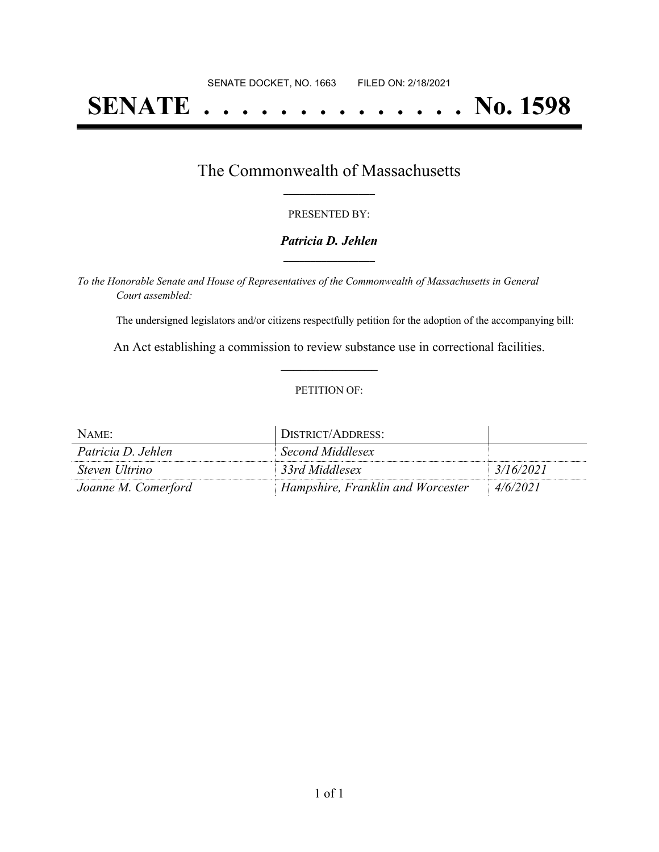# **SENATE . . . . . . . . . . . . . . No. 1598**

## The Commonwealth of Massachusetts **\_\_\_\_\_\_\_\_\_\_\_\_\_\_\_\_\_**

#### PRESENTED BY:

#### *Patricia D. Jehlen* **\_\_\_\_\_\_\_\_\_\_\_\_\_\_\_\_\_**

*To the Honorable Senate and House of Representatives of the Commonwealth of Massachusetts in General Court assembled:*

The undersigned legislators and/or citizens respectfully petition for the adoption of the accompanying bill:

An Act establishing a commission to review substance use in correctional facilities. **\_\_\_\_\_\_\_\_\_\_\_\_\_\_\_**

#### PETITION OF:

| NAME:               | DISTRICT/ADDRESS:                 |           |
|---------------------|-----------------------------------|-----------|
| Patricia D. Jehlen  | Second Middlesex                  |           |
| Steven Ultrino      | 33rd Middlesex                    | 3/16/2021 |
| Joanne M. Comerford | Hampshire, Franklin and Worcester | 4/6/2021  |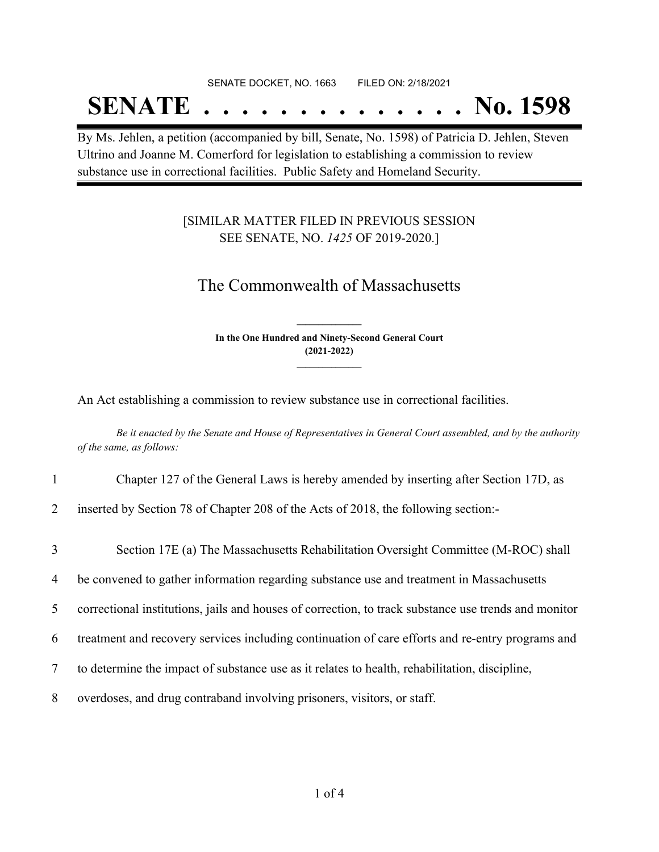#### SENATE DOCKET, NO. 1663 FILED ON: 2/18/2021

## **SENATE . . . . . . . . . . . . . . No. 1598**

By Ms. Jehlen, a petition (accompanied by bill, Senate, No. 1598) of Patricia D. Jehlen, Steven Ultrino and Joanne M. Comerford for legislation to establishing a commission to review substance use in correctional facilities. Public Safety and Homeland Security.

### [SIMILAR MATTER FILED IN PREVIOUS SESSION SEE SENATE, NO. *1425* OF 2019-2020.]

## The Commonwealth of Massachusetts

**In the One Hundred and Ninety-Second General Court (2021-2022) \_\_\_\_\_\_\_\_\_\_\_\_\_\_\_**

**\_\_\_\_\_\_\_\_\_\_\_\_\_\_\_**

An Act establishing a commission to review substance use in correctional facilities.

Be it enacted by the Senate and House of Representatives in General Court assembled, and by the authority *of the same, as follows:*

- 1 Chapter 127 of the General Laws is hereby amended by inserting after Section 17D, as
- 2 inserted by Section 78 of Chapter 208 of the Acts of 2018, the following section:-
- 3 Section 17E (a) The Massachusetts Rehabilitation Oversight Committee (M-ROC) shall
- 4 be convened to gather information regarding substance use and treatment in Massachusetts
- 5 correctional institutions, jails and houses of correction, to track substance use trends and monitor
- 6 treatment and recovery services including continuation of care efforts and re-entry programs and
- 7 to determine the impact of substance use as it relates to health, rehabilitation, discipline,
- 8 overdoses, and drug contraband involving prisoners, visitors, or staff.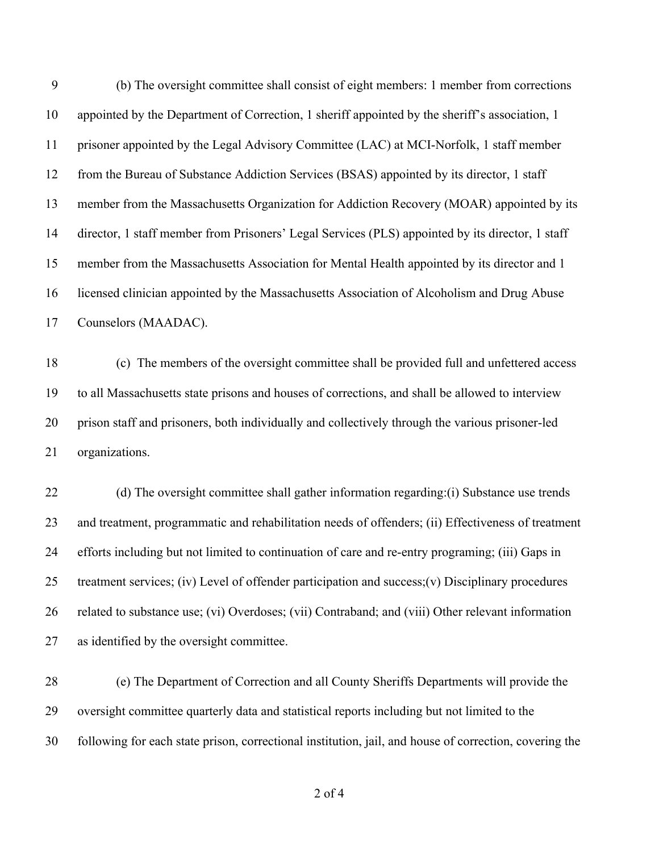(b) The oversight committee shall consist of eight members: 1 member from corrections appointed by the Department of Correction, 1 sheriff appointed by the sheriff's association, 1 prisoner appointed by the Legal Advisory Committee (LAC) at MCI-Norfolk, 1 staff member from the Bureau of Substance Addiction Services (BSAS) appointed by its director, 1 staff member from the Massachusetts Organization for Addiction Recovery (MOAR) appointed by its director, 1 staff member from Prisoners' Legal Services (PLS) appointed by its director, 1 staff member from the Massachusetts Association for Mental Health appointed by its director and 1 licensed clinician appointed by the Massachusetts Association of Alcoholism and Drug Abuse Counselors (MAADAC).

 (c) The members of the oversight committee shall be provided full and unfettered access to all Massachusetts state prisons and houses of corrections, and shall be allowed to interview prison staff and prisoners, both individually and collectively through the various prisoner-led organizations.

22 (d) The oversight committee shall gather information regarding: (i) Substance use trends and treatment, programmatic and rehabilitation needs of offenders; (ii) Effectiveness of treatment efforts including but not limited to continuation of care and re-entry programing; (iii) Gaps in treatment services; (iv) Level of offender participation and success;(v) Disciplinary procedures related to substance use; (vi) Overdoses; (vii) Contraband; and (viii) Other relevant information as identified by the oversight committee.

 (e) The Department of Correction and all County Sheriffs Departments will provide the oversight committee quarterly data and statistical reports including but not limited to the following for each state prison, correctional institution, jail, and house of correction, covering the

of 4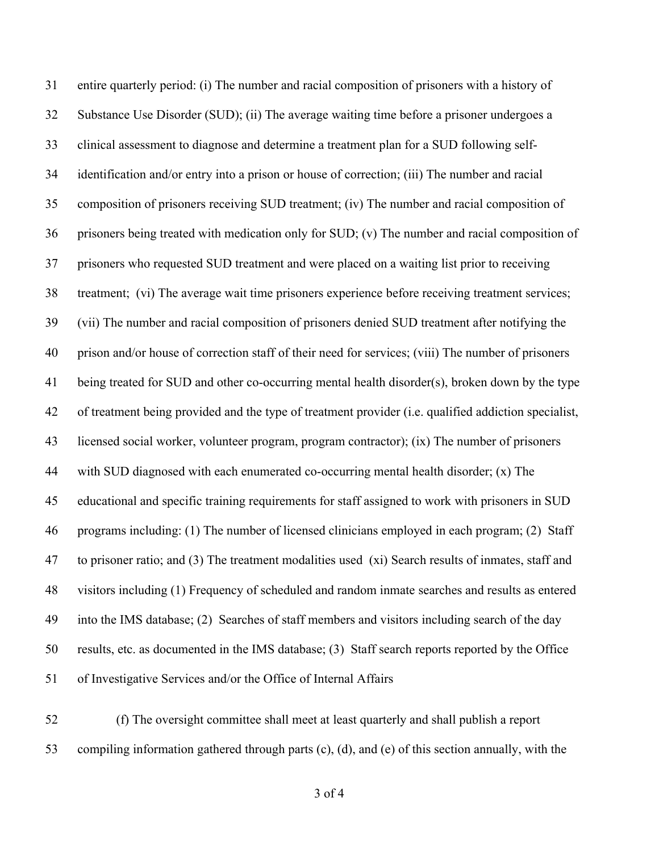entire quarterly period: (i) The number and racial composition of prisoners with a history of Substance Use Disorder (SUD); (ii) The average waiting time before a prisoner undergoes a clinical assessment to diagnose and determine a treatment plan for a SUD following self- identification and/or entry into a prison or house of correction; (iii) The number and racial composition of prisoners receiving SUD treatment; (iv) The number and racial composition of prisoners being treated with medication only for SUD; (v) The number and racial composition of prisoners who requested SUD treatment and were placed on a waiting list prior to receiving treatment; (vi) The average wait time prisoners experience before receiving treatment services; (vii) The number and racial composition of prisoners denied SUD treatment after notifying the prison and/or house of correction staff of their need for services; (viii) The number of prisoners being treated for SUD and other co-occurring mental health disorder(s), broken down by the type of treatment being provided and the type of treatment provider (i.e. qualified addiction specialist, licensed social worker, volunteer program, program contractor); (ix) The number of prisoners with SUD diagnosed with each enumerated co-occurring mental health disorder; (x) The educational and specific training requirements for staff assigned to work with prisoners in SUD programs including: (1) The number of licensed clinicians employed in each program; (2) Staff to prisoner ratio; and (3) The treatment modalities used (xi) Search results of inmates, staff and visitors including (1) Frequency of scheduled and random inmate searches and results as entered into the IMS database; (2) Searches of staff members and visitors including search of the day results, etc. as documented in the IMS database; (3) Staff search reports reported by the Office of Investigative Services and/or the Office of Internal Affairs

 (f) The oversight committee shall meet at least quarterly and shall publish a report compiling information gathered through parts (c), (d), and (e) of this section annually, with the

of 4